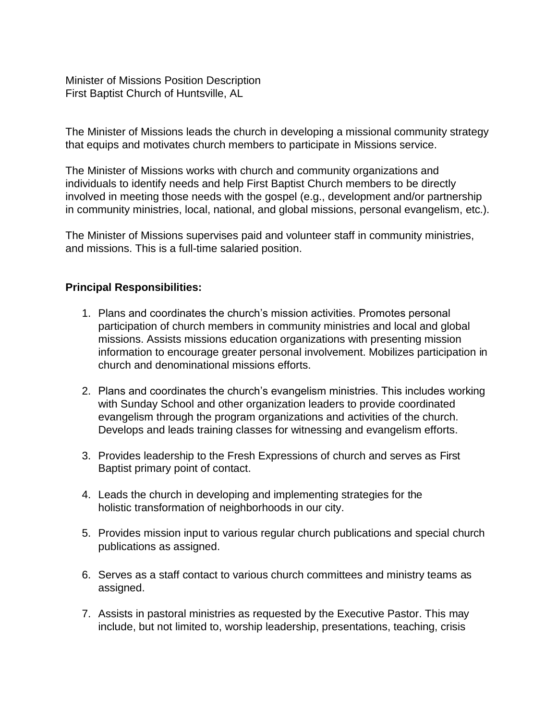Minister of Missions Position Description First Baptist Church of Huntsville, AL

The Minister of Missions leads the church in developing a missional community strategy that equips and motivates church members to participate in Missions service.

The Minister of Missions works with church and community organizations and individuals to identify needs and help First Baptist Church members to be directly involved in meeting those needs with the gospel (e.g., development and/or partnership in community ministries, local, national, and global missions, personal evangelism, etc.).

The Minister of Missions supervises paid and volunteer staff in community ministries, and missions. This is a full-time salaried position.

## **Principal Responsibilities:**

- 1. Plans and coordinates the church's mission activities. Promotes personal participation of church members in community ministries and local and global missions. Assists missions education organizations with presenting mission information to encourage greater personal involvement. Mobilizes participation in church and denominational missions efforts.
- 2. Plans and coordinates the church's evangelism ministries. This includes working with Sunday School and other organization leaders to provide coordinated evangelism through the program organizations and activities of the church. Develops and leads training classes for witnessing and evangelism efforts.
- 3. Provides leadership to the Fresh Expressions of church and serves as First Baptist primary point of contact.
- 4. Leads the church in developing and implementing strategies for the holistic transformation of neighborhoods in our city.
- 5. Provides mission input to various regular church publications and special church publications as assigned.
- 6. Serves as a staff contact to various church committees and ministry teams as assigned.
- 7. Assists in pastoral ministries as requested by the Executive Pastor. This may include, but not limited to, worship leadership, presentations, teaching, crisis